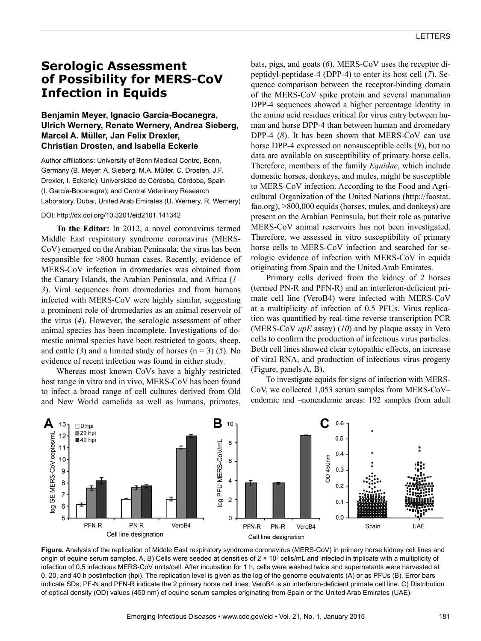# **Serologic Assessment of Possibility for MERS-CoV Infection in Equids**

## **Benjamin Meyer, Ignacio García-Bocanegra, Ulrich Wernery, Renate Wernery, Andrea Sieberg, Marcel A. Müller, Jan Felix Drexler, Christian Drosten, and Isabella Eckerle**

Author affiliations: University of Bonn Medical Centre, Bonn, Germany (B. Meyer, A. Sieberg, M.A. Müller, C. Drosten, J.F. Drexler, I. Eckerle); Universidad de Córdoba, Córdoba, Spain (I. García-Bocanegra); and Central Veterinary Research Laboratory, Dubai, United Arab Emirates (U. Wernery, R. Wernery)

### DOI: http://dx.doi.org/10.3201/eid2101.141342

**To the Editor:** In 2012, a novel coronavirus termed Middle East respiratory syndrome coronavirus (MERS-CoV) emerged on the Arabian Peninsula; the virus has been responsible for >800 human cases. Recently, evidence of MERS-CoV infection in dromedaries was obtained from the Canary Islands, the Arabian Peninsula, and Africa (*1*– *3*). Viral sequences from dromedaries and from humans infected with MERS-CoV were highly similar, suggesting a prominent role of dromedaries as an animal reservoir of the virus (*4*). However, the serologic assessment of other animal species has been incomplete. Investigations of domestic animal species have been restricted to goats, sheep, and cattle (3) and a limited study of horses  $(n = 3)$  (5). No evidence of recent infection was found in either study.

Whereas most known CoVs have a highly restricted host range in vitro and in vivo, MERS-CoV has been found to infect a broad range of cell cultures derived from Old and New World camelids as well as humans, primates,

bats, pigs, and goats (*6*). MERS-CoV uses the receptor dipeptidyl-peptidase-4 (DPP-4) to enter its host cell (*7*). Sequence comparison between the receptor-binding domain of the MERS-CoV spike protein and several mammalian DPP-4 sequences showed a higher percentage identity in the amino acid residues critical for virus entry between human and horse DPP-4 than between human and dromedary DPP-4 (*8*). It has been shown that MERS-CoV can use horse DPP-4 expressed on nonsusceptible cells (*9*), but no data are available on susceptibility of primary horse cells. Therefore, members of the family *Equidae*, which include domestic horses, donkeys, and mules, might be susceptible to MERS-CoV infection. According to the Food and Agricultural Organization of the United Nations (http://faostat. fao.org), >800,000 equids (horses, mules, and donkeys) are present on the Arabian Peninsula, but their role as putative MERS-CoV animal reservoirs has not been investigated. Therefore, we assessed in vitro susceptibility of primary horse cells to MERS-CoV infection and searched for serologic evidence of infection with MERS-CoV in equids originating from Spain and the United Arab Emirates.

Primary cells derived from the kidney of 2 horses (termed PN-R and PFN-R) and an interferon-deficient primate cell line (VeroB4) were infected with MERS-CoV at a multiplicity of infection of 0.5 PFUs. Virus replication was quantified by real-time reverse transcription PCR (MERS-CoV *upE* assay) (*10*) and by plaque assay in Vero cells to confirm the production of infectious virus particles. Both cell lines showed clear cytopathic effects, an increase of viral RNA, and production of infectious virus progeny (Figure, panels A, B).

To investigate equids for signs of infection with MERS-CoV, we collected 1,053 serum samples from MERS-CoV– endemic and –nonendemic areas: 192 samples from adult



**Figure.** Analysis of the replication of Middle East respiratory syndrome coronavirus (MERS-CoV) in primary horse kidney cell lines and origin of equine serum samples. A, B) Cells were seeded at densities of 2 × 10<sup>5</sup> cells/mL and infected in triplicate with a multiplicity of infection of 0.5 infectious MERS-CoV units/cell. After incubation for 1 h, cells were washed twice and supernatants were harvested at 0, 20, and 40 h postinfection (hpi). The replication level is given as the log of the genome equivalents (A) or as PFUs (B). Error bars indicate SDs; PF-N and PFN-R indicate the 2 primary horse cell lines; VeroB4 is an interferon-deficient primate cell line. C) Distribution of optical density (OD) values (450 nm) of equine serum samples originating from Spain or the United Arab Emirates (UAE).